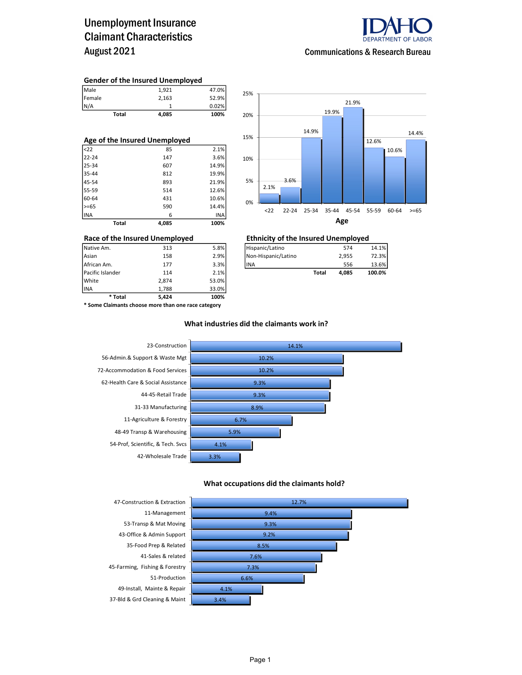### Unemployment Insurance Claimant Characteristics August 2021



Communications & Research Bureau

#### Gender of the Insured Unemployed

| Total  | 4,085 | 100%  |
|--------|-------|-------|
| N/A    |       | 0.02% |
| Female | 2,163 | 52.9% |
| Male   | 1,921 | 47.0% |

| Age of the Insured Unemployed |       |       |  |  |  |  |  |  |
|-------------------------------|-------|-------|--|--|--|--|--|--|
| $ $ <22                       | 85    | 2.1%  |  |  |  |  |  |  |
| 22-24                         | 147   | 3.6%  |  |  |  |  |  |  |
| 25-34                         | 607   | 14.9% |  |  |  |  |  |  |
| 35-44                         | 812   | 19.9% |  |  |  |  |  |  |
| 45-54                         | 893   | 21.9% |  |  |  |  |  |  |
| 55-59                         | 514   | 12.6% |  |  |  |  |  |  |
| 60-64                         | 431   | 10.6% |  |  |  |  |  |  |
| $>= 65$                       | 590   | 14.4% |  |  |  |  |  |  |
| <b>INA</b>                    | 6     | INA   |  |  |  |  |  |  |
| <b>Total</b>                  | 4.085 | 100%  |  |  |  |  |  |  |



### Race of the Insured Unemployed<br>
Native Am. 313 5.8% Filispanic/Latino 574 574

| Pacific Islander | 114 | 2.1% |                      | Total | 4.085 | 100.0% |
|------------------|-----|------|----------------------|-------|-------|--------|
| African Am.      | 177 | 3.3% | lina                 |       | 556   | 13.6%  |
| Asian            | 158 | 2.9% | INon-Hispanic/Latino |       | 2.955 | 72.3%  |
| Native Am.       | 313 | 5.8% | Hispanic/Latino      |       | 574   | 14.1%  |

INA 1,788 33.0% \* Some Claimants choose more than one race category

\* Total 5,424 100%

Pacific Islander 114 2.1% White 2,874 53.0%<br>1.788 53.0% 53.0%

#### What industries did the claimants work in?



#### What occupations did the claimants hold?



Page 1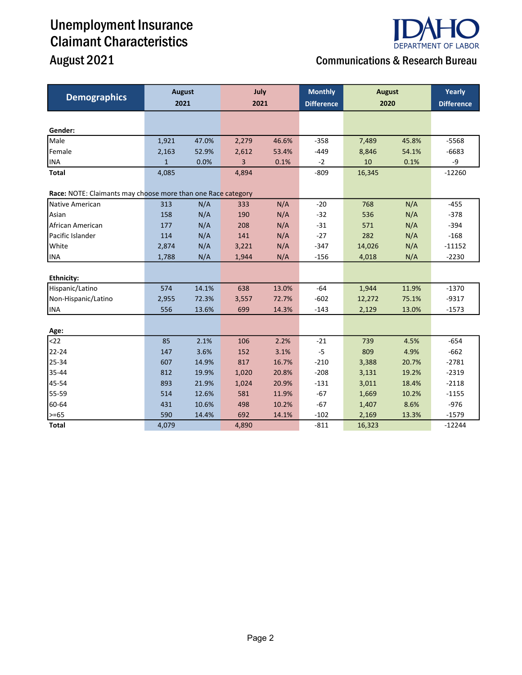## Unemployment Insurance Claimant Characteristics

# **DEPARTMENT OF LABOR**

## August 2021 **Communications & Research Bureau**

| <b>Demographics</b>                                          | <b>August</b><br>2021 |       | July<br>2021 |       | <b>Monthly</b><br><b>Difference</b> | <b>August</b><br>2020 |       | Yearly<br><b>Difference</b> |
|--------------------------------------------------------------|-----------------------|-------|--------------|-------|-------------------------------------|-----------------------|-------|-----------------------------|
|                                                              |                       |       |              |       |                                     |                       |       |                             |
|                                                              |                       |       |              |       |                                     |                       |       |                             |
| Gender:                                                      |                       |       |              |       |                                     |                       |       |                             |
| Male                                                         | 1,921                 | 47.0% | 2,279        | 46.6% | $-358$                              | 7,489                 | 45.8% | $-5568$                     |
| Female                                                       | 2,163                 | 52.9% | 2,612        | 53.4% | $-449$                              | 8,846                 | 54.1% | $-6683$                     |
| <b>INA</b>                                                   | $\mathbf{1}$          | 0.0%  | 3            | 0.1%  | $-2$                                | 10                    | 0.1%  | -9                          |
| <b>Total</b>                                                 | 4,085                 |       | 4,894        |       | $-809$                              | 16,345                |       | $-12260$                    |
| Race: NOTE: Claimants may choose more than one Race category |                       |       |              |       |                                     |                       |       |                             |
| Native American                                              | 313                   | N/A   | 333          | N/A   | $-20$                               | 768                   | N/A   | $-455$                      |
| Asian                                                        | 158                   | N/A   | 190          | N/A   | $-32$                               | 536                   | N/A   | $-378$                      |
| African American                                             | 177                   | N/A   | 208          | N/A   | $-31$                               | 571                   | N/A   | $-394$                      |
| Pacific Islander                                             | 114                   | N/A   | 141          | N/A   | $-27$                               | 282                   | N/A   | $-168$                      |
| White                                                        | 2,874                 | N/A   | 3,221        | N/A   | $-347$                              | 14,026                | N/A   | $-11152$                    |
| <b>INA</b>                                                   | 1,788                 | N/A   | 1,944        | N/A   | $-156$                              | 4,018                 | N/A   | $-2230$                     |
|                                                              |                       |       |              |       |                                     |                       |       |                             |
| <b>Ethnicity:</b>                                            |                       |       |              |       |                                     |                       |       |                             |
| Hispanic/Latino                                              | 574                   | 14.1% | 638          | 13.0% | $-64$                               | 1,944                 | 11.9% | $-1370$                     |
| Non-Hispanic/Latino                                          | 2,955                 | 72.3% | 3,557        | 72.7% | $-602$                              | 12,272                | 75.1% | $-9317$                     |
| <b>INA</b>                                                   | 556                   | 13.6% | 699          | 14.3% | $-143$                              | 2,129                 | 13.0% | $-1573$                     |
|                                                              |                       |       |              |       |                                     |                       |       |                             |
| Age:                                                         |                       |       |              |       |                                     |                       |       |                             |
| $22$                                                         | 85                    | 2.1%  | 106          | 2.2%  | $-21$                               | 739                   | 4.5%  | $-654$                      |
| 22-24                                                        | 147                   | 3.6%  | 152          | 3.1%  | $-5$                                | 809                   | 4.9%  | $-662$                      |
| 25-34                                                        | 607                   | 14.9% | 817          | 16.7% | $-210$                              | 3,388                 | 20.7% | $-2781$                     |
| 35-44                                                        | 812                   | 19.9% | 1,020        | 20.8% | $-208$                              | 3,131                 | 19.2% | $-2319$                     |
| 45-54                                                        | 893                   | 21.9% | 1,024        | 20.9% | $-131$                              | 3,011                 | 18.4% | $-2118$                     |
| 55-59                                                        | 514                   | 12.6% | 581          | 11.9% | $-67$                               | 1,669                 | 10.2% | $-1155$                     |
| 60-64                                                        | 431                   | 10.6% | 498          | 10.2% | $-67$                               | 1,407                 | 8.6%  | $-976$                      |
| >=65                                                         | 590                   | 14.4% | 692          | 14.1% | $-102$                              | 2,169                 | 13.3% | $-1579$                     |
| <b>Total</b>                                                 | 4,079                 |       | 4,890        |       | $-811$                              | 16,323                |       | $-12244$                    |